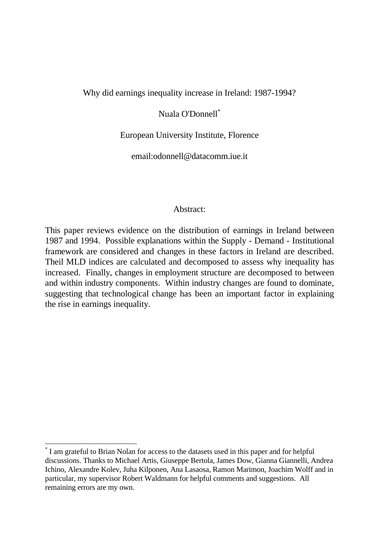#### Why did earnings inequality increase in Ireland: 1987-1994?

### Nuala O'Donnell\*

#### European University Institute, Florence

email:odonnell@datacomm.iue.it

#### Abstract:

This paper reviews evidence on the distribution of earnings in Ireland between 1987 and 1994. Possible explanations within the Supply - Demand - Institutional framework are considered and changes in these factors in Ireland are described. Theil MLD indices are calculated and decomposed to assess why inequality has increased. Finally, changes in employment structure are decomposed to between and within industry components. Within industry changes are found to dominate, suggesting that technological change has been an important factor in explaining the rise in earnings inequality.

-

<sup>\*</sup> I am grateful to Brian Nolan for access to the datasets used in this paper and for helpful discussions. Thanks to Michael Artis, Giuseppe Bertola, James Dow, Gianna Giannelli, Andrea Ichino, Alexandre Kolev, Juha Kilponen, Ana Lasaosa, Ramon Marimon, Joachim Wolff and in particular, my supervisor Robert Waldmann for helpful comments and suggestions. All remaining errors are my own.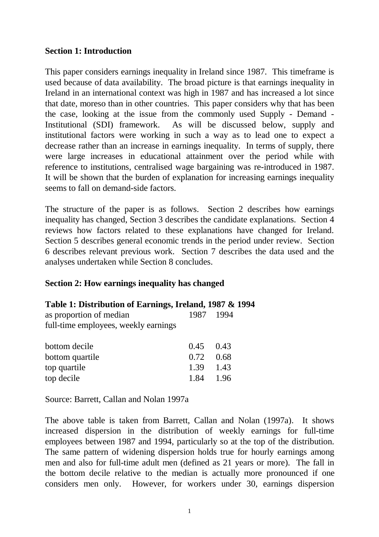### **Section 1: Introduction**

This paper considers earnings inequality in Ireland since 1987. This timeframe is used because of data availability. The broad picture is that earnings inequality in Ireland in an international context was high in 1987 and has increased a lot since that date, moreso than in other countries. This paper considers why that has been the case, looking at the issue from the commonly used Supply - Demand - Institutional (SDI) framework. As will be discussed below, supply and institutional factors were working in such a way as to lead one to expect a decrease rather than an increase in earnings inequality. In terms of supply, there were large increases in educational attainment over the period while with reference to institutions, centralised wage bargaining was re-introduced in 1987. It will be shown that the burden of explanation for increasing earnings inequality seems to fall on demand-side factors.

The structure of the paper is as follows. Section 2 describes how earnings inequality has changed, Section 3 describes the candidate explanations. Section 4 reviews how factors related to these explanations have changed for Ireland. Section 5 describes general economic trends in the period under review. Section 6 describes relevant previous work. Section 7 describes the data used and the analyses undertaken while Section 8 concludes.

## **Section 2: How earnings inequality has changed**

### **Table 1: Distribution of Earnings, Ireland, 1987 & 1994**

| as proportion of median              | 1987 1994 |  |
|--------------------------------------|-----------|--|
| full-time employees, weekly earnings |           |  |

| 1.84 | -1.96                                         |
|------|-----------------------------------------------|
|      | $0.45$ 0.43<br>$0.72 \quad 0.68$<br>1.39 1.43 |

Source: Barrett, Callan and Nolan 1997a

The above table is taken from Barrett, Callan and Nolan (1997a). It shows increased dispersion in the distribution of weekly earnings for full-time employees between 1987 and 1994, particularly so at the top of the distribution. The same pattern of widening dispersion holds true for hourly earnings among men and also for full-time adult men (defined as 21 years or more). The fall in the bottom decile relative to the median is actually more pronounced if one considers men only. However, for workers under 30, earnings dispersion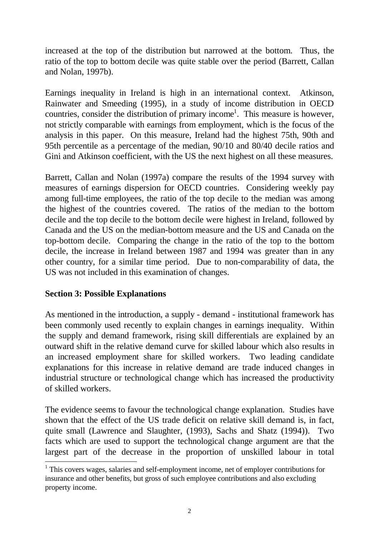increased at the top of the distribution but narrowed at the bottom. Thus, the ratio of the top to bottom decile was quite stable over the period (Barrett, Callan and Nolan, 1997b).

Earnings inequality in Ireland is high in an international context. Atkinson, Rainwater and Smeeding (1995), in a study of income distribution in OECD countries, consider the distribution of primary income<sup>1</sup>. This measure is however, not strictly comparable with earnings from employment, which is the focus of the analysis in this paper. On this measure, Ireland had the highest 75th, 90th and 95th percentile as a percentage of the median, 90/10 and 80/40 decile ratios and Gini and Atkinson coefficient, with the US the next highest on all these measures.

Barrett, Callan and Nolan (1997a) compare the results of the 1994 survey with measures of earnings dispersion for OECD countries. Considering weekly pay among full-time employees, the ratio of the top decile to the median was among the highest of the countries covered. The ratios of the median to the bottom decile and the top decile to the bottom decile were highest in Ireland, followed by Canada and the US on the median-bottom measure and the US and Canada on the top-bottom decile. Comparing the change in the ratio of the top to the bottom decile, the increase in Ireland between 1987 and 1994 was greater than in any other country, for a similar time period. Due to non-comparability of data, the US was not included in this examination of changes.

## **Section 3: Possible Explanations**

As mentioned in the introduction, a supply - demand - institutional framework has been commonly used recently to explain changes in earnings inequality. Within the supply and demand framework, rising skill differentials are explained by an outward shift in the relative demand curve for skilled labour which also results in an increased employment share for skilled workers. Two leading candidate explanations for this increase in relative demand are trade induced changes in industrial structure or technological change which has increased the productivity of skilled workers.

The evidence seems to favour the technological change explanation. Studies have shown that the effect of the US trade deficit on relative skill demand is, in fact, quite small (Lawrence and Slaughter, (1993), Sachs and Shatz (1994)). Two facts which are used to support the technological change argument are that the largest part of the decrease in the proportion of unskilled labour in total

<sup>&</sup>lt;sup>1</sup> This covers wages, salaries and self-employment income, net of employer contributions for insurance and other benefits, but gross of such employee contributions and also excluding property income.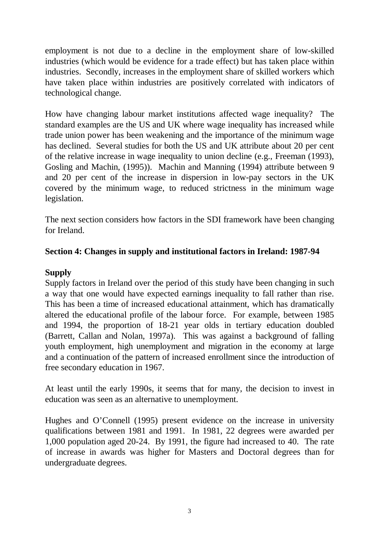employment is not due to a decline in the employment share of low-skilled industries (which would be evidence for a trade effect) but has taken place within industries. Secondly, increases in the employment share of skilled workers which have taken place within industries are positively correlated with indicators of technological change.

How have changing labour market institutions affected wage inequality? The standard examples are the US and UK where wage inequality has increased while trade union power has been weakening and the importance of the minimum wage has declined. Several studies for both the US and UK attribute about 20 per cent of the relative increase in wage inequality to union decline (e.g., Freeman (1993), Gosling and Machin, (1995)). Machin and Manning (1994) attribute between 9 and 20 per cent of the increase in dispersion in low-pay sectors in the UK covered by the minimum wage, to reduced strictness in the minimum wage legislation.

The next section considers how factors in the SDI framework have been changing for Ireland.

## **Section 4: Changes in supply and institutional factors in Ireland: 1987-94**

## **Supply**

Supply factors in Ireland over the period of this study have been changing in such a way that one would have expected earnings inequality to fall rather than rise. This has been a time of increased educational attainment, which has dramatically altered the educational profile of the labour force. For example, between 1985 and 1994, the proportion of 18-21 year olds in tertiary education doubled (Barrett, Callan and Nolan, 1997a). This was against a background of falling youth employment, high unemployment and migration in the economy at large and a continuation of the pattern of increased enrollment since the introduction of free secondary education in 1967.

At least until the early 1990s, it seems that for many, the decision to invest in education was seen as an alternative to unemployment.

Hughes and O'Connell (1995) present evidence on the increase in university qualifications between 1981 and 1991. In 1981, 22 degrees were awarded per 1,000 population aged 20-24. By 1991, the figure had increased to 40. The rate of increase in awards was higher for Masters and Doctoral degrees than for undergraduate degrees.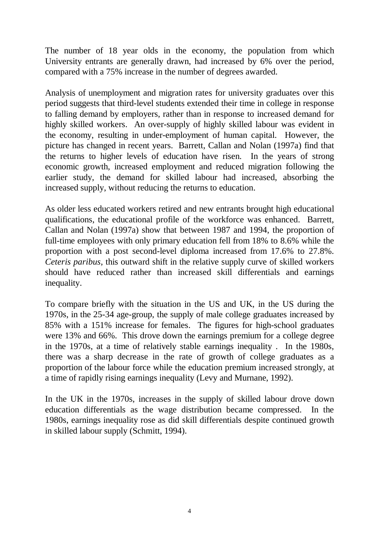The number of 18 year olds in the economy, the population from which University entrants are generally drawn, had increased by 6% over the period, compared with a 75% increase in the number of degrees awarded.

Analysis of unemployment and migration rates for university graduates over this period suggests that third-level students extended their time in college in response to falling demand by employers, rather than in response to increased demand for highly skilled workers. An over-supply of highly skilled labour was evident in the economy, resulting in under-employment of human capital. However, the picture has changed in recent years. Barrett, Callan and Nolan (1997a) find that the returns to higher levels of education have risen. In the years of strong economic growth, increased employment and reduced migration following the earlier study, the demand for skilled labour had increased, absorbing the increased supply, without reducing the returns to education.

As older less educated workers retired and new entrants brought high educational qualifications, the educational profile of the workforce was enhanced. Barrett, Callan and Nolan (1997a) show that between 1987 and 1994, the proportion of full-time employees with only primary education fell from 18% to 8.6% while the proportion with a post second-level diploma increased from 17.6% to 27.8%. *Ceteris paribus*, this outward shift in the relative supply curve of skilled workers should have reduced rather than increased skill differentials and earnings inequality.

To compare briefly with the situation in the US and UK, in the US during the 1970s, in the 25-34 age-group, the supply of male college graduates increased by 85% with a 151% increase for females. The figures for high-school graduates were 13% and 66%. This drove down the earnings premium for a college degree in the 1970s, at a time of relatively stable earnings inequality . In the 1980s, there was a sharp decrease in the rate of growth of college graduates as a proportion of the labour force while the education premium increased strongly, at a time of rapidly rising earnings inequality (Levy and Murnane, 1992).

In the UK in the 1970s, increases in the supply of skilled labour drove down education differentials as the wage distribution became compressed. In the 1980s, earnings inequality rose as did skill differentials despite continued growth in skilled labour supply (Schmitt, 1994).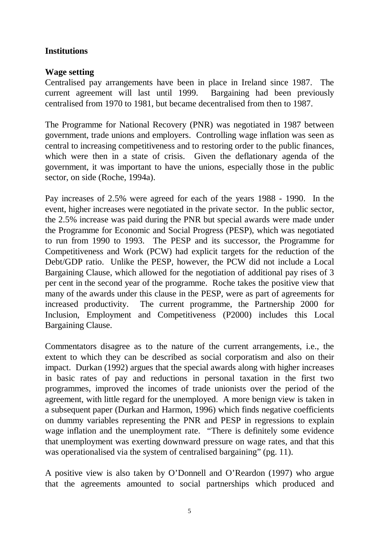## **Institutions**

## **Wage setting**

Centralised pay arrangements have been in place in Ireland since 1987. The current agreement will last until 1999. Bargaining had been previously centralised from 1970 to 1981, but became decentralised from then to 1987.

The Programme for National Recovery (PNR) was negotiated in 1987 between government, trade unions and employers. Controlling wage inflation was seen as central to increasing competitiveness and to restoring order to the public finances, which were then in a state of crisis. Given the deflationary agenda of the government, it was important to have the unions, especially those in the public sector, on side (Roche, 1994a).

Pay increases of 2.5% were agreed for each of the years 1988 - 1990. In the event, higher increases were negotiated in the private sector. In the public sector, the 2.5% increase was paid during the PNR but special awards were made under the Programme for Economic and Social Progress (PESP), which was negotiated to run from 1990 to 1993. The PESP and its successor, the Programme for Competitiveness and Work (PCW) had explicit targets for the reduction of the Debt/GDP ratio. Unlike the PESP, however, the PCW did not include a Local Bargaining Clause, which allowed for the negotiation of additional pay rises of 3 per cent in the second year of the programme. Roche takes the positive view that many of the awards under this clause in the PESP, were as part of agreements for increased productivity. The current programme, the Partnership 2000 for Inclusion, Employment and Competitiveness (P2000) includes this Local Bargaining Clause.

Commentators disagree as to the nature of the current arrangements, i.e., the extent to which they can be described as social corporatism and also on their impact. Durkan (1992) argues that the special awards along with higher increases in basic rates of pay and reductions in personal taxation in the first two programmes, improved the incomes of trade unionists over the period of the agreement, with little regard for the unemployed. A more benign view is taken in a subsequent paper (Durkan and Harmon, 1996) which finds negative coefficients on dummy variables representing the PNR and PESP in regressions to explain wage inflation and the unemployment rate. "There is definitely some evidence that unemployment was exerting downward pressure on wage rates, and that this was operationalised via the system of centralised bargaining" (pg. 11).

A positive view is also taken by O'Donnell and O'Reardon (1997) who argue that the agreements amounted to social partnerships which produced and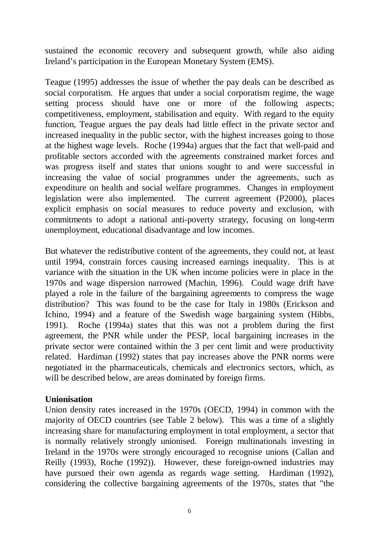sustained the economic recovery and subsequent growth, while also aiding Ireland's participation in the European Monetary System (EMS).

Teague (1995) addresses the issue of whether the pay deals can be described as social corporatism. He argues that under a social corporatism regime, the wage setting process should have one or more of the following aspects; competitiveness, employment, stabilisation and equity. With regard to the equity function, Teague argues the pay deals had little effect in the private sector and increased inequality in the public sector, with the highest increases going to those at the highest wage levels. Roche (1994a) argues that the fact that well-paid and profitable sectors accorded with the agreements constrained market forces and was progress itself and states that unions sought to and were successful in increasing the value of social programmes under the agreements, such as expenditure on health and social welfare programmes. Changes in employment legislation were also implemented. The current agreement (P2000), places explicit emphasis on social measures to reduce poverty and exclusion, with commitments to adopt a national anti-poverty strategy, focusing on long-term unemployment, educational disadvantage and low incomes.

But whatever the redistributive content of the agreements, they could not, at least until 1994, constrain forces causing increased earnings inequality. This is at variance with the situation in the UK when income policies were in place in the 1970s and wage dispersion narrowed (Machin, 1996). Could wage drift have played a role in the failure of the bargaining agreements to compress the wage distribution? This was found to be the case for Italy in 1980s (Erickson and Ichino, 1994) and a feature of the Swedish wage bargaining system (Hibbs, 1991). Roche (1994a) states that this was not a problem during the first agreement, the PNR while under the PESP, local bargaining increases in the private sector were contained within the 3 per cent limit and were productivity related. Hardiman (1992) states that pay increases above the PNR norms were negotiated in the pharmaceuticals, chemicals and electronics sectors, which, as will be described below, are areas dominated by foreign firms.

## **Unionisation**

Union density rates increased in the 1970s (OECD, 1994) in common with the majority of OECD countries (see Table 2 below). This was a time of a slightly increasing share for manufacturing employment in total employment, a sector that is normally relatively strongly unionised. Foreign multinationals investing in Ireland in the 1970s were strongly encouraged to recognise unions (Callan and Reilly (1993), Roche (1992)). However, these foreign-owned industries may have pursued their own agenda as regards wage setting. Hardiman (1992), considering the collective bargaining agreements of the 1970s, states that "the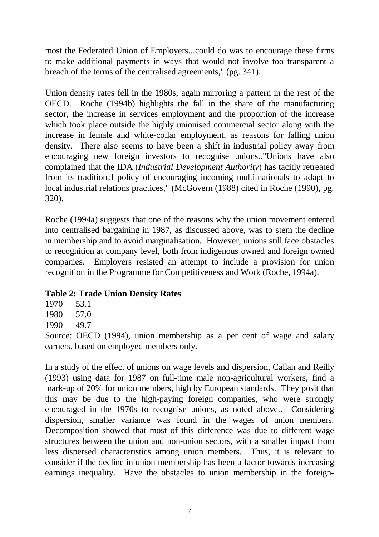most the Federated Union of Employers...could do was to encourage these firms to make additional payments in ways that would not involve too transparent a breach of the terms of the centralised agreements," (pg. 341).

Union density rates fell in the 1980s, again mirroring a pattern in the rest of the OECD. Roche (1994b) highlights the fall in the share of the manufacturing sector, the increase in services employment and the proportion of the increase which took place outside the highly unionised commercial sector along with the increase in female and white-collar employment, as reasons for falling union density. There also seems to have been a shift in industrial policy away from encouraging new foreign investors to recognise unions.."Unions have also complained that the IDA (*Industrial Development Authority*) has tacitly retreated from its traditional policy of encouraging incoming multi-nationals to adapt to local industrial relations practices," (McGovern (1988) cited in Roche (1990), pg. 320).

Roche (1994a) suggests that one of the reasons why the union movement entered into centralised bargaining in 1987, as discussed above, was to stem the decline in membership and to avoid marginalisation. However, unions still face obstacles to recognition at company level, both from indigenous owned and foreign owned companies. Employers resisted an attempt to include a provision for union recognition in the Programme for Competitiveness and Work (Roche, 1994a).

## **Table 2: Trade Union Density Rates**

- 1970 53.1
- 1980 57.0
- 1990 49.7

Source: OECD (1994), union membership as a per cent of wage and salary earners, based on employed members only.

In a study of the effect of unions on wage levels and dispersion, Callan and Reilly (1993) using data for 1987 on full-time male non-agricultural workers, find a mark-up of 20% for union members, high by European standards. They posit that this may be due to the high-paying foreign companies, who were strongly encouraged in the 1970s to recognise unions, as noted above.. Considering dispersion, smaller variance was found in the wages of union members. Decomposition showed that most of this difference was due to different wage structures between the union and non-union sectors, with a smaller impact from less dispersed characteristics among union members. Thus, it is relevant to consider if the decline in union membership has been a factor towards increasing earnings inequality. Have the obstacles to union membership in the foreign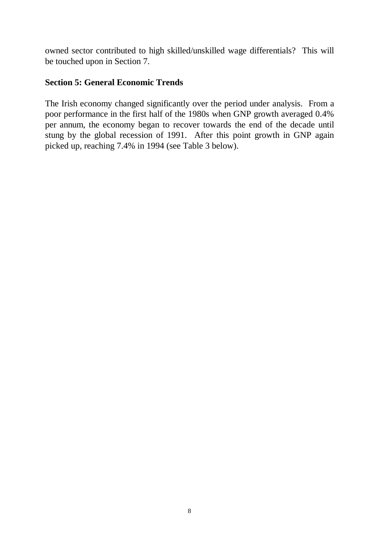owned sector contributed to high skilled/unskilled wage differentials? This will be touched upon in Section 7.

## **Section 5: General Economic Trends**

The Irish economy changed significantly over the period under analysis. From a poor performance in the first half of the 1980s when GNP growth averaged 0.4% per annum, the economy began to recover towards the end of the decade until stung by the global recession of 1991. After this point growth in GNP again picked up, reaching 7.4% in 1994 (see Table 3 below).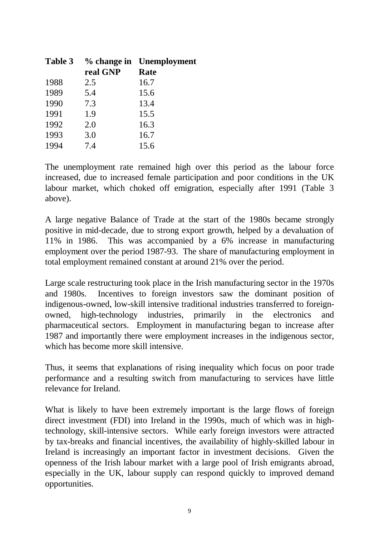| Table 3 |          | % change in Unemployment |
|---------|----------|--------------------------|
|         | real GNP | <b>Rate</b>              |
| 1988    | 2.5      | 16.7                     |
| 1989    | 5.4      | 15.6                     |
| 1990    | 7.3      | 13.4                     |
| 1991    | 1.9      | 15.5                     |
| 1992    | 2.0      | 16.3                     |
| 1993    | 3.0      | 16.7                     |
| 1994    | 7.4      | 15.6                     |

The unemployment rate remained high over this period as the labour force increased, due to increased female participation and poor conditions in the UK labour market, which choked off emigration, especially after 1991 (Table 3 above).

A large negative Balance of Trade at the start of the 1980s became strongly positive in mid-decade, due to strong export growth, helped by a devaluation of 11% in 1986. This was accompanied by a 6% increase in manufacturing employment over the period 1987-93. The share of manufacturing employment in total employment remained constant at around 21% over the period.

Large scale restructuring took place in the Irish manufacturing sector in the 1970s and 1980s. Incentives to foreign investors saw the dominant position of indigenous-owned, low-skill intensive traditional industries transferred to foreignowned, high-technology industries, primarily in the electronics and pharmaceutical sectors. Employment in manufacturing began to increase after 1987 and importantly there were employment increases in the indigenous sector, which has become more skill intensive.

Thus, it seems that explanations of rising inequality which focus on poor trade performance and a resulting switch from manufacturing to services have little relevance for Ireland.

What is likely to have been extremely important is the large flows of foreign direct investment (FDI) into Ireland in the 1990s, much of which was in hightechnology, skill-intensive sectors. While early foreign investors were attracted by tax-breaks and financial incentives, the availability of highly-skilled labour in Ireland is increasingly an important factor in investment decisions. Given the openness of the Irish labour market with a large pool of Irish emigrants abroad, especially in the UK, labour supply can respond quickly to improved demand opportunities.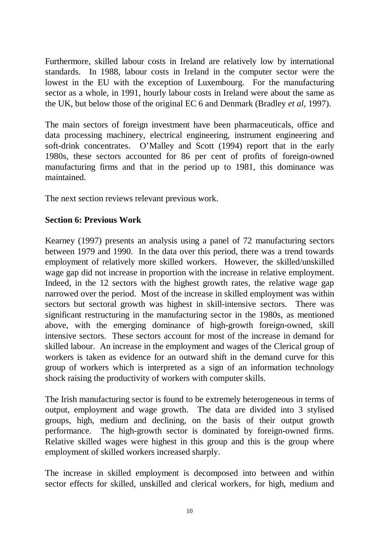Furthermore, skilled labour costs in Ireland are relatively low by international standards. In 1988, labour costs in Ireland in the computer sector were the lowest in the EU with the exception of Luxembourg. For the manufacturing sector as a whole, in 1991, hourly labour costs in Ireland were about the same as the UK, but below those of the original EC 6 and Denmark (Bradley *et al*, 1997).

The main sectors of foreign investment have been pharmaceuticals, office and data processing machinery, electrical engineering, instrument engineering and soft-drink concentrates. O'Malley and Scott (1994) report that in the early 1980s, these sectors accounted for 86 per cent of profits of foreign-owned manufacturing firms and that in the period up to 1981, this dominance was maintained.

The next section reviews relevant previous work.

## **Section 6: Previous Work**

Kearney (1997) presents an analysis using a panel of 72 manufacturing sectors between 1979 and 1990. In the data over this period, there was a trend towards employment of relatively more skilled workers. However, the skilled/unskilled wage gap did not increase in proportion with the increase in relative employment. Indeed, in the 12 sectors with the highest growth rates, the relative wage gap narrowed over the period. Most of the increase in skilled employment was within sectors but sectoral growth was highest in skill-intensive sectors. There was significant restructuring in the manufacturing sector in the 1980s, as mentioned above, with the emerging dominance of high-growth foreign-owned, skill intensive sectors. These sectors account for most of the increase in demand for skilled labour. An increase in the employment and wages of the Clerical group of workers is taken as evidence for an outward shift in the demand curve for this group of workers which is interpreted as a sign of an information technology shock raising the productivity of workers with computer skills.

The Irish manufacturing sector is found to be extremely heterogeneous in terms of output, employment and wage growth. The data are divided into 3 stylised groups, high, medium and declining, on the basis of their output growth performance. The high-growth sector is dominated by foreign-owned firms. Relative skilled wages were highest in this group and this is the group where employment of skilled workers increased sharply.

The increase in skilled employment is decomposed into between and within sector effects for skilled, unskilled and clerical workers, for high, medium and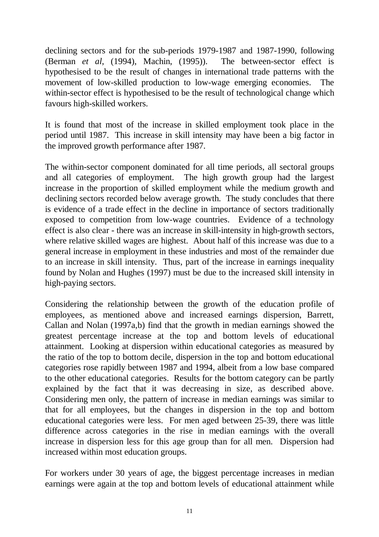declining sectors and for the sub-periods 1979-1987 and 1987-1990, following (Berman *et al*, (1994), Machin, (1995)). The between-sector effect is hypothesised to be the result of changes in international trade patterns with the movement of low-skilled production to low-wage emerging economies. The within-sector effect is hypothesised to be the result of technological change which favours high-skilled workers.

It is found that most of the increase in skilled employment took place in the period until 1987. This increase in skill intensity may have been a big factor in the improved growth performance after 1987.

The within-sector component dominated for all time periods, all sectoral groups and all categories of employment. The high growth group had the largest increase in the proportion of skilled employment while the medium growth and declining sectors recorded below average growth. The study concludes that there is evidence of a trade effect in the decline in importance of sectors traditionally exposed to competition from low-wage countries. Evidence of a technology effect is also clear - there was an increase in skill-intensity in high-growth sectors, where relative skilled wages are highest. About half of this increase was due to a general increase in employment in these industries and most of the remainder due to an increase in skill intensity. Thus, part of the increase in earnings inequality found by Nolan and Hughes (1997) must be due to the increased skill intensity in high-paying sectors.

Considering the relationship between the growth of the education profile of employees, as mentioned above and increased earnings dispersion, Barrett, Callan and Nolan (1997a,b) find that the growth in median earnings showed the greatest percentage increase at the top and bottom levels of educational attainment. Looking at dispersion within educational categories as measured by the ratio of the top to bottom decile, dispersion in the top and bottom educational categories rose rapidly between 1987 and 1994, albeit from a low base compared to the other educational categories. Results for the bottom category can be partly explained by the fact that it was decreasing in size, as described above. Considering men only, the pattern of increase in median earnings was similar to that for all employees, but the changes in dispersion in the top and bottom educational categories were less. For men aged between 25-39, there was little difference across categories in the rise in median earnings with the overall increase in dispersion less for this age group than for all men. Dispersion had increased within most education groups.

For workers under 30 years of age, the biggest percentage increases in median earnings were again at the top and bottom levels of educational attainment while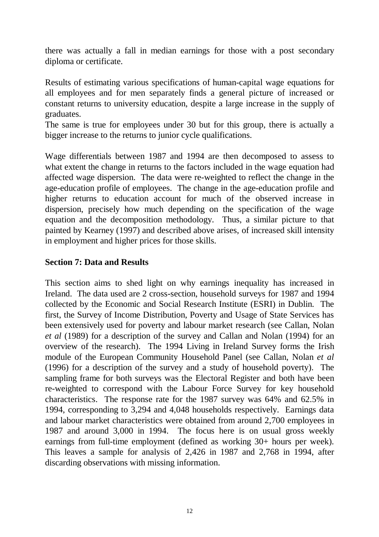there was actually a fall in median earnings for those with a post secondary diploma or certificate.

Results of estimating various specifications of human-capital wage equations for all employees and for men separately finds a general picture of increased or constant returns to university education, despite a large increase in the supply of graduates.

The same is true for employees under 30 but for this group, there is actually a bigger increase to the returns to junior cycle qualifications.

Wage differentials between 1987 and 1994 are then decomposed to assess to what extent the change in returns to the factors included in the wage equation had affected wage dispersion. The data were re-weighted to reflect the change in the age-education profile of employees. The change in the age-education profile and higher returns to education account for much of the observed increase in dispersion, precisely how much depending on the specification of the wage equation and the decomposition methodology. Thus, a similar picture to that painted by Kearney (1997) and described above arises, of increased skill intensity in employment and higher prices for those skills.

## **Section 7: Data and Results**

This section aims to shed light on why earnings inequality has increased in Ireland. The data used are 2 cross-section, household surveys for 1987 and 1994 collected by the Economic and Social Research Institute (ESRI) in Dublin. The first, the Survey of Income Distribution, Poverty and Usage of State Services has been extensively used for poverty and labour market research (see Callan, Nolan *et al* (1989) for a description of the survey and Callan and Nolan (1994) for an overview of the research). The 1994 Living in Ireland Survey forms the Irish module of the European Community Household Panel (see Callan, Nolan *et al* (1996) for a description of the survey and a study of household poverty). The sampling frame for both surveys was the Electoral Register and both have been re-weighted to correspond with the Labour Force Survey for key household characteristics. The response rate for the 1987 survey was 64% and 62.5% in 1994, corresponding to 3,294 and 4,048 households respectively. Earnings data and labour market characteristics were obtained from around 2,700 employees in 1987 and around 3,000 in 1994. The focus here is on usual gross weekly earnings from full-time employment (defined as working 30+ hours per week). This leaves a sample for analysis of 2,426 in 1987 and 2,768 in 1994, after discarding observations with missing information.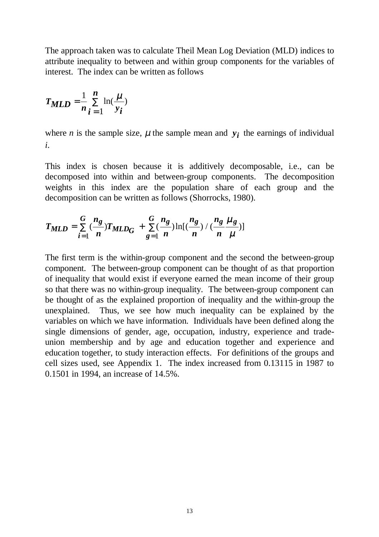The approach taken was to calculate Theil Mean Log Deviation (MLD) indices to attribute inequality to between and within group components for the variables of interest. The index can be written as follows

$$
T_{MLD} = \frac{1}{n} \sum_{i=1}^{n} \ln(\frac{\mu}{y_i})
$$

where *n* is the sample size,  $\mu$  the sample mean and  $y_i$  the earnings of individual *i*.

This index is chosen because it is additively decomposable, i.e., can be decomposed into within and between-group components. The decomposition weights in this index are the population share of each group and the decomposition can be written as follows (Shorrocks, 1980).

$$
T_{MLD} = \sum_{i=1}^{G} \left(\frac{n_g}{n}\right) T_{MLD_G} + \sum_{g=1}^{G} \left(\frac{n_g}{n}\right) \ln\left[\left(\frac{n_g}{n}\right) / \left(\frac{n_g}{n}\frac{\mu_g}{\mu}\right)\right]
$$

The first term is the within-group component and the second the between-group component. The between-group component can be thought of as that proportion of inequality that would exist if everyone earned the mean income of their group so that there was no within-group inequality. The between-group component can be thought of as the explained proportion of inequality and the within-group the unexplained. Thus, we see how much inequality can be explained by the variables on which we have information. Individuals have been defined along the single dimensions of gender, age, occupation, industry, experience and tradeunion membership and by age and education together and experience and education together, to study interaction effects. For definitions of the groups and cell sizes used, see Appendix 1. The index increased from 0.13115 in 1987 to 0.1501 in 1994, an increase of 14.5%.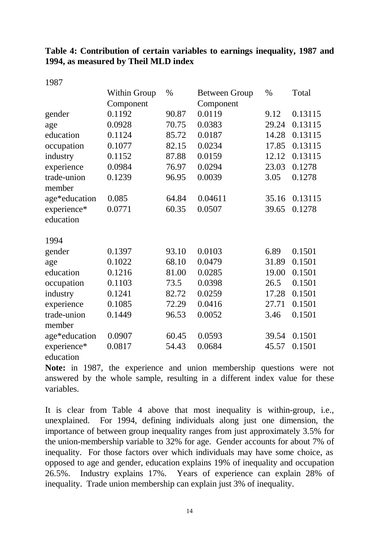## **Table 4: Contribution of certain variables to earnings inequality, 1987 and 1994, as measured by Theil MLD index**

1987

|               | <b>Within Group</b> | %     | <b>Between Group</b> | %     | Total   |
|---------------|---------------------|-------|----------------------|-------|---------|
|               | Component           |       | Component            |       |         |
| gender        | 0.1192              | 90.87 | 0.0119               | 9.12  | 0.13115 |
| age           | 0.0928              | 70.75 | 0.0383               | 29.24 | 0.13115 |
| education     | 0.1124              | 85.72 | 0.0187               | 14.28 | 0.13115 |
| occupation    | 0.1077              | 82.15 | 0.0234               | 17.85 | 0.13115 |
| industry      | 0.1152              | 87.88 | 0.0159               | 12.12 | 0.13115 |
| experience    | 0.0984              | 76.97 | 0.0294               | 23.03 | 0.1278  |
| trade-union   | 0.1239              | 96.95 | 0.0039               | 3.05  | 0.1278  |
| member        |                     |       |                      |       |         |
| age*education | 0.085               | 64.84 | 0.04611              | 35.16 | 0.13115 |
| experience*   | 0.0771              | 60.35 | 0.0507               | 39.65 | 0.1278  |
| education     |                     |       |                      |       |         |
| 1994          |                     |       |                      |       |         |
| gender        | 0.1397              | 93.10 | 0.0103               | 6.89  | 0.1501  |
| age           | 0.1022              | 68.10 | 0.0479               | 31.89 | 0.1501  |
| education     | 0.1216              | 81.00 | 0.0285               | 19.00 | 0.1501  |
| occupation    | 0.1103              | 73.5  | 0.0398               | 26.5  | 0.1501  |
| industry      | 0.1241              | 82.72 | 0.0259               | 17.28 | 0.1501  |
| experience    | 0.1085              | 72.29 | 0.0416               | 27.71 | 0.1501  |
| trade-union   | 0.1449              | 96.53 | 0.0052               | 3.46  | 0.1501  |
| member        |                     |       |                      |       |         |
| age*education | 0.0907              | 60.45 | 0.0593               | 39.54 | 0.1501  |
| experience*   | 0.0817              | 54.43 | 0.0684               | 45.57 | 0.1501  |
| education     |                     |       |                      |       |         |

**Note:** in 1987, the experience and union membership questions were not answered by the whole sample, resulting in a different index value for these variables.

It is clear from Table 4 above that most inequality is within-group, i.e., unexplained. For 1994, defining individuals along just one dimension, the importance of between group inequality ranges from just approximately 3.5% for the union-membership variable to 32% for age. Gender accounts for about 7% of inequality. For those factors over which individuals may have some choice, as opposed to age and gender, education explains 19% of inequality and occupation 26.5%. Industry explains 17%. Years of experience can explain 28% of inequality. Trade union membership can explain just 3% of inequality.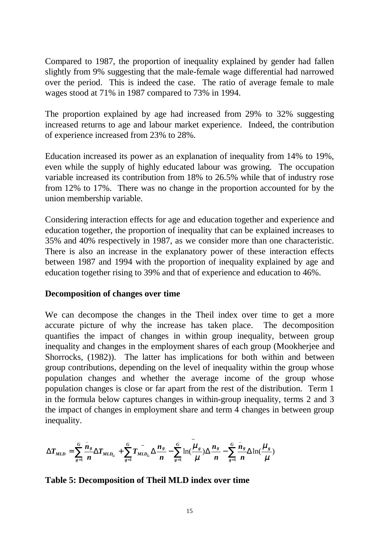Compared to 1987, the proportion of inequality explained by gender had fallen slightly from 9% suggesting that the male-female wage differential had narrowed over the period. This is indeed the case. The ratio of average female to male wages stood at 71% in 1987 compared to 73% in 1994.

The proportion explained by age had increased from 29% to 32% suggesting increased returns to age and labour market experience. Indeed, the contribution of experience increased from 23% to 28%.

Education increased its power as an explanation of inequality from 14% to 19%, even while the supply of highly educated labour was growing. The occupation variable increased its contribution from 18% to 26.5% while that of industry rose from 12% to 17%. There was no change in the proportion accounted for by the union membership variable.

Considering interaction effects for age and education together and experience and education together, the proportion of inequality that can be explained increases to 35% and 40% respectively in 1987, as we consider more than one characteristic. There is also an increase in the explanatory power of these interaction effects between 1987 and 1994 with the proportion of inequality explained by age and education together rising to 39% and that of experience and education to 46%.

### **Decomposition of changes over time**

We can decompose the changes in the Theil index over time to get a more accurate picture of why the increase has taken place. The decomposition quantifies the impact of changes in within group inequality, between group inequality and changes in the employment shares of each group (Mookherjee and Shorrocks, (1982)). The latter has implications for both within and between group contributions, depending on the level of inequality within the group whose population changes and whether the average income of the group whose population changes is close or far apart from the rest of the distribution. Term 1 in the formula below captures changes in within-group inequality, terms 2 and 3 the impact of changes in employment share and term 4 changes in between group inequality.

$$
\Delta T_{MLD} = \sum_{g=1}^{G} \frac{\bar{n}_g}{n} \Delta T_{MLD_G} + \sum_{g=1}^{G} \frac{\bar{n}_g}{n} \Delta \frac{n_g}{n} - \sum_{g=1}^{G} \ln(\frac{\mu_g}{\mu}) \Delta \frac{n_g}{n} - \sum_{g=1}^{G} \frac{\bar{n}_g}{n} \Delta \ln(\frac{\mu_g}{\mu})
$$

## **Table 5: Decomposition of Theil MLD index over time**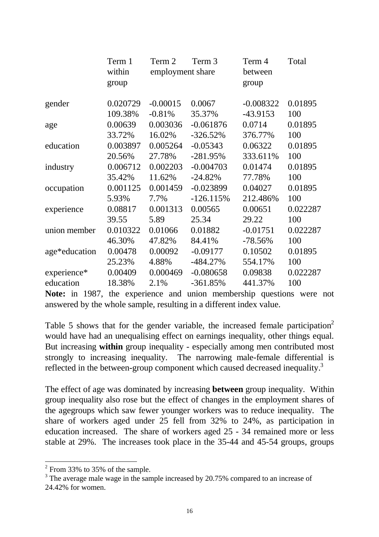|               | Term 1<br>within<br>group | Term 2<br>employment share | Term 3      | Term 4<br>between<br>group | Total    |
|---------------|---------------------------|----------------------------|-------------|----------------------------|----------|
| gender        | 0.020729                  | $-0.00015$                 | 0.0067      | $-0.008322$                | 0.01895  |
|               | 109.38%                   | $-0.81%$                   | 35.37%      | $-43.9153$                 | 100      |
| age           | 0.00639                   | 0.003036                   | $-0.061876$ | 0.0714                     | 0.01895  |
|               | 33.72%                    | 16.02%                     | $-326.52%$  | 376.77%                    | 100      |
| education     | 0.003897                  | 0.005264                   | $-0.05343$  | 0.06322                    | 0.01895  |
|               | 20.56%                    | 27.78%                     | $-281.95%$  | 333.611%                   | 100      |
| industry      | 0.006712                  | 0.002203                   | $-0.004703$ | 0.01474                    | 0.01895  |
|               | 35.42%                    | 11.62%                     | $-24.82%$   | 77.78%                     | 100      |
| occupation    | 0.001125                  | 0.001459                   | $-0.023899$ | 0.04027                    | 0.01895  |
|               | 5.93%                     | 7.7%                       | $-126.115%$ | 212.486%                   | 100      |
| experience    | 0.08817                   | 0.001313                   | 0.00565     | 0.00651                    | 0.022287 |
|               | 39.55                     | 5.89                       | 25.34       | 29.22                      | 100      |
| union member  | 0.010322                  | 0.01066                    | 0.01882     | $-0.01751$                 | 0.022287 |
|               | 46.30%                    | 47.82%                     | 84.41%      | $-78.56%$                  | 100      |
| age*education | 0.00478                   | 0.00092                    | $-0.09177$  | 0.10502                    | 0.01895  |
|               | 25.23%                    | 4.88%                      | $-484.27%$  | 554.17%                    | 100      |
| experience*   | 0.00409                   | 0.000469                   | $-0.080658$ | 0.09838                    | 0.022287 |
| education     | 18.38%                    | 2.1%                       | $-361.85%$  | 441.37%                    | 100      |

**Note:** in 1987, the experience and union membership questions were not answered by the whole sample, resulting in a different index value.

Table 5 shows that for the gender variable, the increased female participation<sup>2</sup> would have had an unequalising effect on earnings inequality, other things equal. But increasing **within** group inequality - especially among men contributed most strongly to increasing inequality. The narrowing male-female differential is reflected in the between-group component which caused decreased inequality.<sup>3</sup>

The effect of age was dominated by increasing **between** group inequality. Within group inequality also rose but the effect of changes in the employment shares of the agegroups which saw fewer younger workers was to reduce inequality. The share of workers aged under 25 fell from 32% to 24%, as participation in education increased. The share of workers aged 25 - 34 remained more or less stable at 29%. The increases took place in the 35-44 and 45-54 groups, groups

-

 $2$  From 33% to 35% of the sample.

 $3$  The average male wage in the sample increased by 20.75% compared to an increase of 24.42% for women.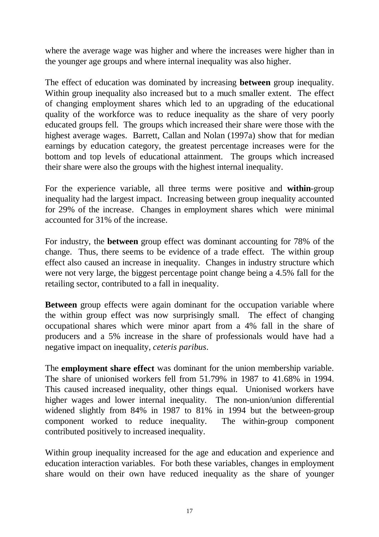where the average wage was higher and where the increases were higher than in the younger age groups and where internal inequality was also higher.

The effect of education was dominated by increasing **between** group inequality. Within group inequality also increased but to a much smaller extent. The effect of changing employment shares which led to an upgrading of the educational quality of the workforce was to reduce inequality as the share of very poorly educated groups fell. The groups which increased their share were those with the highest average wages. Barrett, Callan and Nolan (1997a) show that for median earnings by education category, the greatest percentage increases were for the bottom and top levels of educational attainment. The groups which increased their share were also the groups with the highest internal inequality.

For the experience variable, all three terms were positive and **within**-group inequality had the largest impact. Increasing between group inequality accounted for 29% of the increase. Changes in employment shares which were minimal accounted for 31% of the increase.

For industry, the **between** group effect was dominant accounting for 78% of the change. Thus, there seems to be evidence of a trade effect. The within group effect also caused an increase in inequality. Changes in industry structure which were not very large, the biggest percentage point change being a 4.5% fall for the retailing sector, contributed to a fall in inequality.

**Between** group effects were again dominant for the occupation variable where the within group effect was now surprisingly small. The effect of changing occupational shares which were minor apart from a 4% fall in the share of producers and a 5% increase in the share of professionals would have had a negative impact on inequality, *ceteris paribus*.

The **employment share effect** was dominant for the union membership variable. The share of unionised workers fell from 51.79% in 1987 to 41.68% in 1994. This caused increased inequality, other things equal. Unionised workers have higher wages and lower internal inequality. The non-union/union differential widened slightly from 84% in 1987 to 81% in 1994 but the between-group component worked to reduce inequality. The within-group component contributed positively to increased inequality.

Within group inequality increased for the age and education and experience and education interaction variables. For both these variables, changes in employment share would on their own have reduced inequality as the share of younger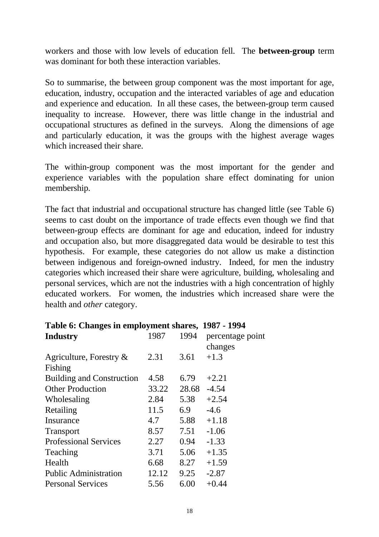workers and those with low levels of education fell. The **between-group** term was dominant for both these interaction variables.

So to summarise, the between group component was the most important for age, education, industry, occupation and the interacted variables of age and education and experience and education. In all these cases, the between-group term caused inequality to increase. However, there was little change in the industrial and occupational structures as defined in the surveys. Along the dimensions of age and particularly education, it was the groups with the highest average wages which increased their share.

The within-group component was the most important for the gender and experience variables with the population share effect dominating for union membership.

The fact that industrial and occupational structure has changed little (see Table 6) seems to cast doubt on the importance of trade effects even though we find that between-group effects are dominant for age and education, indeed for industry and occupation also, but more disaggregated data would be desirable to test this hypothesis. For example, these categories do not allow us make a distinction between indigenous and foreign-owned industry. Indeed, for men the industry categories which increased their share were agriculture, building, wholesaling and personal services, which are not the industries with a high concentration of highly educated workers. For women, the industries which increased share were the health and *other* category.

| таріс от спандся ні спіріоўнісні япагся,<br>1/01 - 1/ <i>1</i> |       |                             |  |  |  |
|----------------------------------------------------------------|-------|-----------------------------|--|--|--|
| 1987                                                           | 1994  | percentage point<br>changes |  |  |  |
| 2.31                                                           | 3.61  | $+1.3$                      |  |  |  |
|                                                                |       |                             |  |  |  |
| 4.58                                                           | 6.79  | $+2.21$                     |  |  |  |
| 33.22                                                          | 28.68 | $-4.54$                     |  |  |  |
| 2.84                                                           | 5.38  | $+2.54$                     |  |  |  |
| 11.5                                                           | 6.9   | $-4.6$                      |  |  |  |
| 4.7                                                            | 5.88  | $+1.18$                     |  |  |  |
| 8.57                                                           | 7.51  | $-1.06$                     |  |  |  |
| 2.27                                                           | 0.94  | $-1.33$                     |  |  |  |
| 3.71                                                           | 5.06  | $+1.35$                     |  |  |  |
| 6.68                                                           | 8.27  | $+1.59$                     |  |  |  |
| 12.12                                                          | 9.25  | $-2.87$                     |  |  |  |
| 5.56                                                           | 6.00  | $+0.44$                     |  |  |  |
|                                                                |       |                             |  |  |  |

|  |  | Table 6: Changes in employment shares, 1987 - 1994 |  |
|--|--|----------------------------------------------------|--|
|--|--|----------------------------------------------------|--|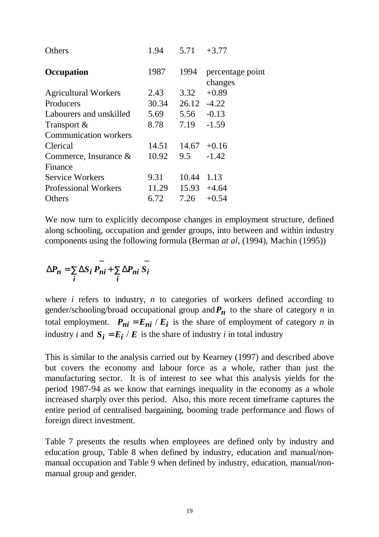| 1.94  |       | $+3.77$                                          |
|-------|-------|--------------------------------------------------|
| 1987  | 1994  | percentage point<br>changes                      |
| 2.43  | 3.32  | $+0.89$                                          |
| 30.34 |       | $-4.22$                                          |
| 5.69  | 5.56  | $-0.13$                                          |
| 8.78  | 7.19  | $-1.59$                                          |
|       |       |                                                  |
| 14.51 |       |                                                  |
| 10.92 | 9.5   | $-1.42$                                          |
|       |       |                                                  |
| 9.31  | 10.44 | 1.13                                             |
| 11.29 |       |                                                  |
| 6.72  | 7.26  | $+0.54$                                          |
|       |       | 5.71<br>26.12<br>$14.67 + 0.16$<br>$15.93 +4.64$ |

We now turn to explicitly decompose changes in employment structure, defined along schooling, occupation and gender groups, into between and within industry components using the following formula (Berman *at al,* (1994), Machin (1995))

$$
\Delta P_n = \sum_i \Delta S_i \overrightarrow{P_{ni}} + \sum_i \Delta P_{ni} \overrightarrow{S_i}
$$

where *i* refers to industry, *n* to categories of workers defined according to gender/schooling/broad occupational group and  $P_n$  to the share of category *n* in total employment.  $P_{ni} = E_{ni} / E_i$  is the share of employment of category *n* in industry *i* and  $S_i = E_i / E$  is the share of industry *i* in total industry

This is similar to the analysis carried out by Kearney (1997) and described above but covers the economy and labour force as a whole, rather than just the manufacturing sector. It is of interest to see what this analysis yields for the period 1987-94 as we know that earnings inequality in the economy as a whole increased sharply over this period. Also, this more recent timeframe captures the entire period of centralised bargaining, booming trade performance and flows of foreign direct investment.

Table 7 presents the results when employees are defined only by industry and education group, Table 8 when defined by industry, education and manual/nonmanual occupation and Table 9 when defined by industry, education, manual/nonmanual group and gender.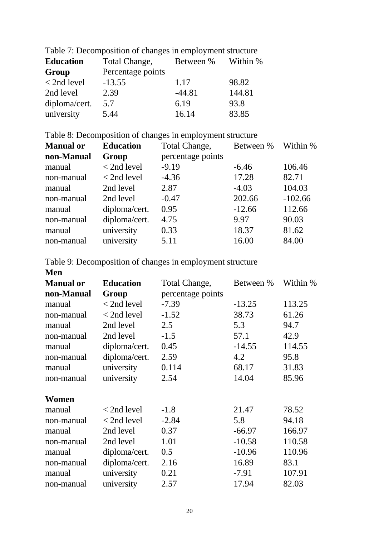| Table 7. Decomposition of changes in employment structure |                   |           |          |  |  |
|-----------------------------------------------------------|-------------------|-----------|----------|--|--|
| <b>Education</b>                                          | Total Change,     | Between % | Within % |  |  |
| Group                                                     | Percentage points |           |          |  |  |
| $<$ 2nd level                                             | $-13.55$          | 1.17      | 98.82    |  |  |
| 2nd level                                                 | 2.39              | $-44.81$  | 144.81   |  |  |
| diploma/cert.                                             | 5.7               | 6.19      | 93.8     |  |  |
| university                                                | 5.44              | 16.14     | 83.85    |  |  |

Table 7: Decomposition of changes in employment structure

Table 8: Decomposition of changes in employment structure

| <b>Education</b> | Total Change,     | Between % | Within %  |
|------------------|-------------------|-----------|-----------|
| Group            | percentage points |           |           |
| $<$ 2nd level    | $-9.19$           | $-6.46$   | 106.46    |
| $< 2nd$ level    | $-4.36$           | 17.28     | 82.71     |
| 2nd level        | 2.87              | $-4.03$   | 104.03    |
| 2nd level        | $-0.47$           | 202.66    | $-102.66$ |
| diploma/cert.    | 0.95              | $-12.66$  | 112.66    |
| diploma/cert.    | 4.75              | 9.97      | 90.03     |
| university       | 0.33              | 18.37     | 81.62     |
| university       | 5.11              | 16.00     | 84.00     |
|                  |                   |           |           |

Table 9: Decomposition of changes in employment structure

| <b>Manual or</b> | <b>Education</b> | Total Change,     | Between % | Within % |
|------------------|------------------|-------------------|-----------|----------|
| non-Manual       | Group            | percentage points |           |          |
| manual           | $<$ 2nd level    | $-7.39$           | $-13.25$  | 113.25   |
| non-manual       | $<$ 2nd level    | $-1.52$           | 38.73     | 61.26    |
| manual           | 2nd level        | 2.5               | 5.3       | 94.7     |
| non-manual       | 2nd level        | $-1.5$            | 57.1      | 42.9     |
| manual           | diploma/cert.    | 0.45              | $-14.55$  | 114.55   |
| non-manual       | diploma/cert.    | 2.59              | 4.2       | 95.8     |
| manual           | university       | 0.114             | 68.17     | 31.83    |
| non-manual       | university       | 2.54              | 14.04     | 85.96    |
|                  |                  |                   |           |          |
| Women            |                  |                   |           |          |
| manual           | $<$ 2nd level    | $-1.8$            | 21.47     | 78.52    |
| non-manual       | $<$ 2nd level    | $-2.84$           | 5.8       | 94.18    |
| manual           | 2nd level        | 0.37              | $-66.97$  | 166.97   |
| non-manual       | 2nd level        | 1.01              | $-10.58$  | 110.58   |
| manual           | diploma/cert.    | 0.5               | $-10.96$  | 110.96   |
| non-manual       | diploma/cert.    | 2.16              | 16.89     | 83.1     |
| manual           | university       | 0.21              | $-7.91$   | 107.91   |
| non-manual       | university       | 2.57              | 17.94     | 82.03    |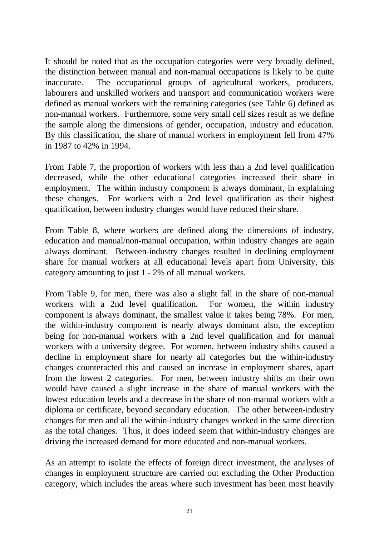It should be noted that as the occupation categories were very broadly defined, the distinction between manual and non-manual occupations is likely to be quite inaccurate. The occupational groups of agricultural workers, producers, labourers and unskilled workers and transport and communication workers were defined as manual workers with the remaining categories (see Table 6) defined as non-manual workers. Furthermore, some very small cell sizes result as we define the sample along the dimensions of gender, occupation, industry and education. By this classification, the share of manual workers in employment fell from 47% in 1987 to 42% in 1994.

From Table 7, the proportion of workers with less than a 2nd level qualification decreased, while the other educational categories increased their share in employment. The within industry component is always dominant, in explaining these changes. For workers with a 2nd level qualification as their highest qualification, between industry changes would have reduced their share.

From Table 8, where workers are defined along the dimensions of industry, education and manual/non-manual occupation, within industry changes are again always dominant. Between-industry changes resulted in declining employment share for manual workers at all educational levels apart from University, this category amounting to just 1 - 2% of all manual workers.

From Table 9, for men, there was also a slight fall in the share of non-manual workers with a 2nd level qualification. For women, the within industry component is always dominant, the smallest value it takes being 78%. For men, the within-industry component is nearly always dominant also, the exception being for non-manual workers with a 2nd level qualification and for manual workers with a university degree. For women, between industry shifts caused a decline in employment share for nearly all categories but the within-industry changes counteracted this and caused an increase in employment shares, apart from the lowest 2 categories. For men, between industry shifts on their own would have caused a slight increase in the share of manual workers with the lowest education levels and a decrease in the share of non-manual workers with a diploma or certificate, beyond secondary education. The other between-industry changes for men and all the within-industry changes worked in the same direction as the total changes. Thus, it does indeed seem that within-industry changes are driving the increased demand for more educated and non-manual workers.

As an attempt to isolate the effects of foreign direct investment, the analyses of changes in employment structure are carried out excluding the Other Production category, which includes the areas where such investment has been most heavily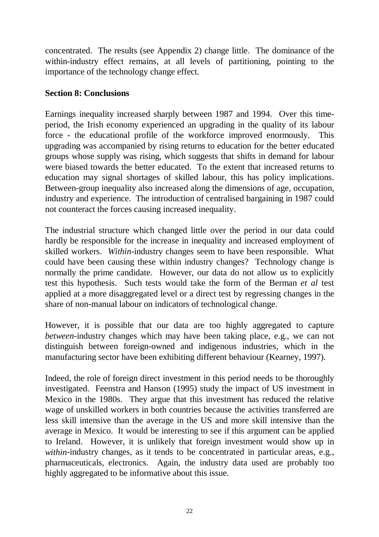concentrated. The results (see Appendix 2) change little. The dominance of the within-industry effect remains, at all levels of partitioning, pointing to the importance of the technology change effect.

## **Section 8: Conclusions**

Earnings inequality increased sharply between 1987 and 1994. Over this timeperiod, the Irish economy experienced an upgrading in the quality of its labour force - the educational profile of the workforce improved enormously. This upgrading was accompanied by rising returns to education for the better educated groups whose supply was rising, which suggests that shifts in demand for labour were biased towards the better educated. To the extent that increased returns to education may signal shortages of skilled labour, this has policy implications. Between-group inequality also increased along the dimensions of age, occupation, industry and experience. The introduction of centralised bargaining in 1987 could not counteract the forces causing increased inequality.

The industrial structure which changed little over the period in our data could hardly be responsible for the increase in inequality and increased employment of skilled workers. *Within*-industry changes seem to have been responsible. What could have been causing these within industry changes? Technology change is normally the prime candidate. However, our data do not allow us to explicitly test this hypothesis. Such tests would take the form of the Berman *et al* test applied at a more disaggregated level or a direct test by regressing changes in the share of non-manual labour on indicators of technological change.

However, it is possible that our data are too highly aggregated to capture *between*-industry changes which may have been taking place, e.g., we can not distinguish between foreign-owned and indigenous industries, which in the manufacturing sector have been exhibiting different behaviour (Kearney, 1997).

Indeed, the role of foreign direct investment in this period needs to be thoroughly investigated. Feenstra and Hanson (1995) study the impact of US investment in Mexico in the 1980s. They argue that this investment has reduced the relative wage of unskilled workers in both countries because the activities transferred are less skill intensive than the average in the US and more skill intensive than the average in Mexico. It would be interesting to see if this argument can be applied to Ireland. However, it is unlikely that foreign investment would show up in *within*-industry changes, as it tends to be concentrated in particular areas, e.g., pharmaceuticals, electronics. Again, the industry data used are probably too highly aggregated to be informative about this issue.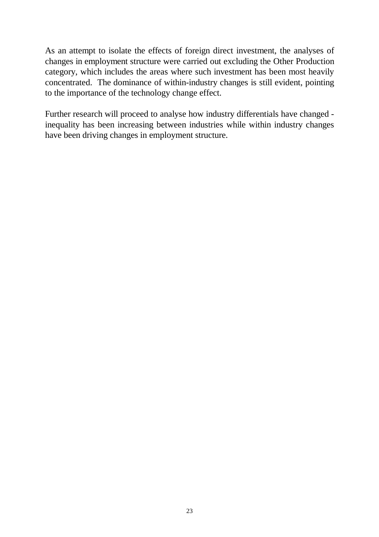As an attempt to isolate the effects of foreign direct investment, the analyses of changes in employment structure were carried out excluding the Other Production category, which includes the areas where such investment has been most heavily concentrated. The dominance of within-industry changes is still evident, pointing to the importance of the technology change effect.

Further research will proceed to analyse how industry differentials have changed inequality has been increasing between industries while within industry changes have been driving changes in employment structure.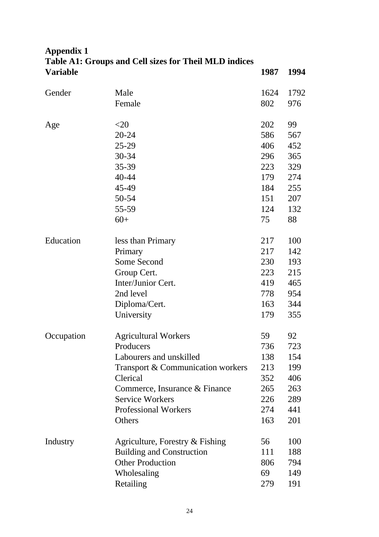# **Appendix 1 Table A1: Groups and Cell sizes for Theil MLD indices Variable 1987 1994**

| Gender     | Male                              | 1624 | 1792 |
|------------|-----------------------------------|------|------|
|            | Female                            | 802  | 976  |
|            |                                   |      |      |
| Age        | $<$ 20                            | 202  | 99   |
|            | 20-24                             | 586  | 567  |
|            | $25 - 29$                         | 406  | 452  |
|            | 30-34                             | 296  | 365  |
|            | 35-39                             | 223  | 329  |
|            | 40-44                             | 179  | 274  |
|            | 45-49                             | 184  | 255  |
|            | 50-54                             | 151  | 207  |
|            | 55-59                             | 124  | 132  |
|            | $60+$                             | 75   | 88   |
|            |                                   |      |      |
| Education  | less than Primary                 | 217  | 100  |
|            | Primary                           |      | 142  |
|            | Some Second                       | 230  | 193  |
|            | Group Cert.                       | 223  | 215  |
|            | Inter/Junior Cert.                | 419  | 465  |
|            | 2nd level                         | 778  | 954  |
|            | Diploma/Cert.                     | 163  | 344  |
|            | University                        | 179  | 355  |
| Occupation | <b>Agricultural Workers</b>       | 59   | 92   |
|            | Producers                         | 736  | 723  |
|            | Labourers and unskilled           | 138  | 154  |
|            | Transport & Communication workers | 213  | 199  |
|            | Clerical                          | 352  | 406  |
|            | Commerce, Insurance & Finance     | 265  | 263  |
|            | <b>Service Workers</b>            |      | 289  |
|            | <b>Professional Workers</b>       |      | 441  |
|            | Others                            |      | 201  |
|            |                                   | 56   |      |
| Industry   | Agriculture, Forestry $&$ Fishing |      | 100  |
|            | <b>Building and Construction</b>  | 111  | 188  |
|            | <b>Other Production</b>           | 806  | 794  |
|            | Wholesaling                       | 69   | 149  |
|            | Retailing                         | 279  | 191  |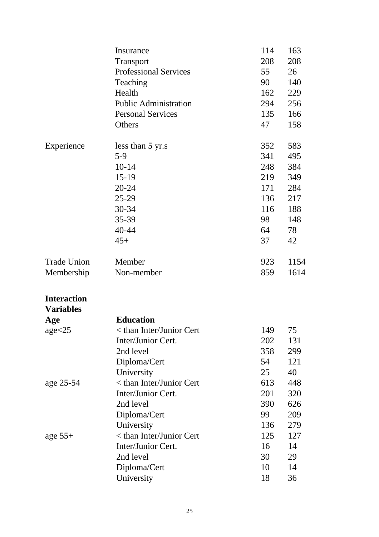|                    | Insurance                    | 114 | 163  |
|--------------------|------------------------------|-----|------|
|                    | Transport                    | 208 | 208  |
|                    | <b>Professional Services</b> | 55  | 26   |
|                    | Teaching                     | 90  | 140  |
|                    | Health                       | 162 | 229  |
|                    | <b>Public Administration</b> | 294 | 256  |
|                    | <b>Personal Services</b>     | 135 | 166  |
|                    | Others                       | 47  | 158  |
| Experience         | less than 5 yr.s             | 352 | 583  |
|                    | $5-9$                        | 341 | 495  |
|                    | $10 - 14$                    | 248 | 384  |
|                    | $15-19$                      | 219 | 349  |
|                    | $20 - 24$                    | 171 | 284  |
|                    | $25-29$                      | 136 | 217  |
|                    | $30 - 34$                    | 116 | 188  |
|                    | 35-39                        | 98  | 148  |
|                    | $40 - 44$                    | 64  | 78   |
|                    | $45+$                        | 37  | 42   |
| <b>Trade Union</b> | Member                       | 923 | 1154 |
| Membership         | Non-member                   | 859 | 1614 |
| <b>Interaction</b> |                              |     |      |
| <b>Variables</b>   |                              |     |      |
| Age                | <b>Education</b>             |     |      |
| age < 25           | < than Inter/Junior Cert     | 149 | 75   |
|                    | Inter/Junior Cert.           | 202 | 131  |
|                    | 2nd level                    | 358 | 299  |
|                    | Diploma/Cert                 | 54  | 121  |
|                    | University                   | 25  | 40   |
| age 25-54          | < than Inter/Junior Cert     | 613 | 448  |
|                    | Inter/Junior Cert.           | 201 | 320  |
|                    | 2nd level                    | 390 | 626  |
|                    | Diploma/Cert                 | 99  | 209  |
|                    | University                   | 136 | 279  |
| age $55+$          | < than Inter/Junior Cert     | 125 | 127  |
|                    | Inter/Junior Cert.           | 16  | 14   |
|                    | 2nd level                    | 30  | 29   |
|                    | Diploma/Cert                 | 10  | 14   |
|                    | University                   | 18  | 36   |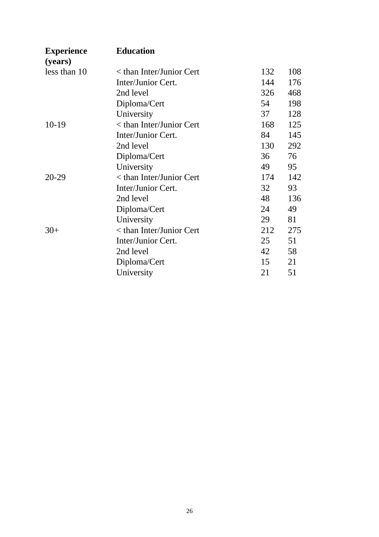| <b>Experience</b> | <b>Education</b>                  |     |     |  |
|-------------------|-----------------------------------|-----|-----|--|
| (years)           |                                   |     |     |  |
| less than 10      | $\epsilon$ than Inter/Junior Cert | 132 | 108 |  |
|                   | Inter/Junior Cert.                | 144 | 176 |  |
|                   | 2nd level                         | 326 | 468 |  |
|                   | Diploma/Cert                      | 54  | 198 |  |
|                   | University                        | 37  | 128 |  |
| $10-19$           | < than Inter/Junior Cert          | 168 | 125 |  |
|                   | Inter/Junior Cert.                | 84  | 145 |  |
|                   | 2nd level                         | 130 | 292 |  |
|                   | Diploma/Cert                      | 36  | 76  |  |
|                   | University                        | 49  | 95  |  |
| $20 - 29$         | $<$ than Inter/Junior Cert        | 174 | 142 |  |
|                   | Inter/Junior Cert.                | 32  | 93  |  |
|                   | 2nd level                         | 48  | 136 |  |
|                   | Diploma/Cert                      | 24  | 49  |  |
|                   | University                        | 29  | 81  |  |
| $30+$             | < than Inter/Junior Cert          | 212 | 275 |  |
|                   | Inter/Junior Cert.                | 25  | 51  |  |
|                   | 2nd level                         | 42  | 58  |  |
|                   | Diploma/Cert                      | 15  | 21  |  |
|                   | University                        | 21  | 51  |  |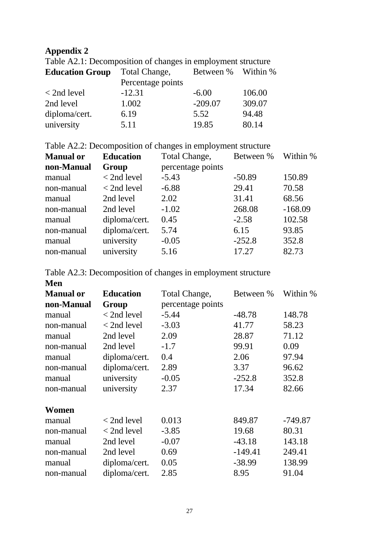# **Appendix 2**

Table A2.1: Decomposition of changes in employment structure

| <b>Education Group</b> | Total Change,     | Between % Within % |        |
|------------------------|-------------------|--------------------|--------|
|                        | Percentage points |                    |        |
| $<$ 2nd level          | $-12.31$          | $-6.00$            | 106.00 |
| 2nd level              | 1.002             | $-209.07$          | 309.07 |
| diploma/cert.          | 6.19              | 5.52               | 94.48  |
| university             | 5.11              | 19.85              | 80.14  |

Table A2.2: Decomposition of changes in employment structure

| <b>Manual or</b> | <b>Education</b> | Total Change,     | Between % Within % |           |
|------------------|------------------|-------------------|--------------------|-----------|
| non-Manual       | Group            | percentage points |                    |           |
| manual           | $<$ 2nd level    | $-5.43$           | $-50.89$           | 150.89    |
| non-manual       | $<$ 2nd level    | $-6.88$           | 29.41              | 70.58     |
| manual           | 2nd level        | 2.02              | 31.41              | 68.56     |
| non-manual       | 2nd level        | $-1.02$           | 268.08             | $-168.09$ |
| manual           | diploma/cert.    | 0.45              | $-2.58$            | 102.58    |
| non-manual       | diploma/cert.    | 5.74              | 6.15               | 93.85     |
| manual           | university       | $-0.05$           | $-252.8$           | 352.8     |
| non-manual       | university       | 5.16              | 17.27              | 82.73     |

|  | Table A2.3: Decomposition of changes in employment structure |
|--|--------------------------------------------------------------|
|--|--------------------------------------------------------------|

| Men<br><b>Manual or</b> | <b>Education</b> | Total Change,     | Between % | Within %  |
|-------------------------|------------------|-------------------|-----------|-----------|
| non-Manual              | Group            | percentage points |           |           |
| manual                  | $<$ 2nd level    | $-5.44$           | $-48.78$  | 148.78    |
| non-manual              | $<$ 2nd level    | $-3.03$           | 41.77     | 58.23     |
| manual                  | 2nd level        | 2.09              | 28.87     | 71.12     |
| non-manual              | 2nd level        | $-1.7$            | 99.91     | 0.09      |
| manual                  | diploma/cert.    | 0.4               | 2.06      | 97.94     |
| non-manual              | diploma/cert.    | 2.89              | 3.37      | 96.62     |
| manual                  | university       | $-0.05$           | $-252.8$  | 352.8     |
| non-manual              | university       | 2.37              | 17.34     | 82.66     |
| Women                   |                  |                   |           |           |
| manual                  | $<$ 2nd level    | 0.013             | 849.87    | $-749.87$ |
| non-manual              | $<$ 2nd level    | $-3.85$           | 19.68     | 80.31     |
| manual                  | 2nd level        | $-0.07$           | $-43.18$  | 143.18    |
| non-manual              | 2nd level        | 0.69              | $-149.41$ | 249.41    |
| manual                  | diploma/cert.    | 0.05              | $-38.99$  | 138.99    |
| non-manual              | diploma/cert.    | 2.85              | 8.95      | 91.04     |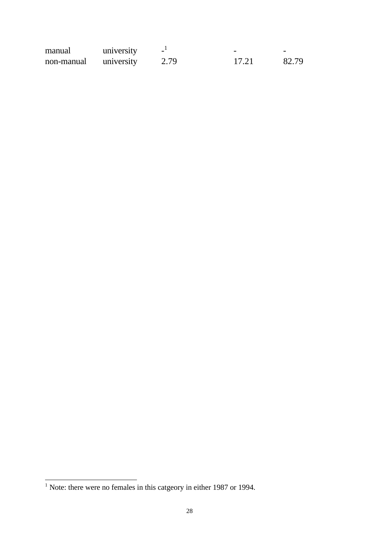| manual     | university | $\overline{\phantom{a}}$ | -     | -     |
|------------|------------|--------------------------|-------|-------|
| non-manual | university | 2.79                     | 17.21 | 82.79 |

 $\overline{\phantom{a}}$ 

<sup>&</sup>lt;sup>1</sup> Note: there were no females in this catgeory in either 1987 or 1994.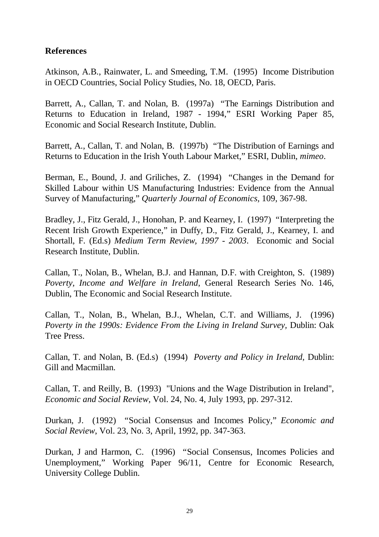### **References**

Atkinson, A.B., Rainwater, L. and Smeeding, T.M. (1995) Income Distribution in OECD Countries, Social Policy Studies, No. 18, OECD, Paris.

Barrett, A., Callan, T. and Nolan, B. (1997a) "The Earnings Distribution and Returns to Education in Ireland, 1987 - 1994," ESRI Working Paper 85, Economic and Social Research Institute, Dublin.

Barrett, A., Callan, T. and Nolan, B. (1997b) "The Distribution of Earnings and Returns to Education in the Irish Youth Labour Market," ESRI, Dublin, *mimeo*.

Berman, E., Bound, J. and Griliches, Z. (1994) "Changes in the Demand for Skilled Labour within US Manufacturing Industries: Evidence from the Annual Survey of Manufacturing," *Quarterly Journal of Economics,* 109, 367-98.

Bradley, J., Fitz Gerald, J., Honohan, P. and Kearney, I. (1997) "Interpreting the Recent Irish Growth Experience," in Duffy, D., Fitz Gerald, J., Kearney, I. and Shortall, F. (Ed.s) *Medium Term Review, 1997 - 2003*. Economic and Social Research Institute, Dublin.

Callan, T., Nolan, B., Whelan, B.J. and Hannan, D.F. with Creighton, S. (1989) *Poverty, Income and Welfare in Ireland*, General Research Series No. 146, Dublin, The Economic and Social Research Institute.

Callan, T., Nolan, B., Whelan, B.J., Whelan, C.T. and Williams, J. (1996) *Poverty in the 1990s: Evidence From the Living in Ireland Survey,* Dublin: Oak Tree Press.

Callan, T. and Nolan, B. (Ed.s) (1994) *Poverty and Policy in Ireland,* Dublin: Gill and Macmillan.

Callan, T. and Reilly, B. (1993) "Unions and the Wage Distribution in Ireland", *Economic and Social Review,* Vol. 24, No. 4, July 1993, pp. 297-312.

Durkan, J. (1992) "Social Consensus and Incomes Policy," *Economic and Social Review*, Vol. 23, No. 3, April, 1992, pp. 347-363.

Durkan, J and Harmon, C. (1996) "Social Consensus, Incomes Policies and Unemployment," Working Paper 96/11, Centre for Economic Research, University College Dublin.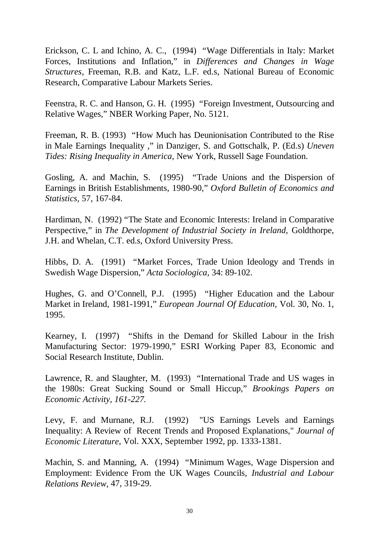Erickson, C. L and Ichino, A. C., (1994) "Wage Differentials in Italy: Market Forces, Institutions and Inflation," in *Differences and Changes in Wage Structures,* Freeman, R.B. and Katz, L.F. ed.s, National Bureau of Economic Research, Comparative Labour Markets Series.

Feenstra, R. C. and Hanson, G. H. (1995) "Foreign Investment, Outsourcing and Relative Wages," NBER Working Paper, No. 5121.

Freeman, R. B. (1993) "How Much has Deunionisation Contributed to the Rise in Male Earnings Inequality ," in Danziger, S. and Gottschalk, P. (Ed.s) *Uneven Tides: Rising Inequality in America,* New York, Russell Sage Foundation.

Gosling, A. and Machin, S. (1995) "Trade Unions and the Dispersion of Earnings in British Establishments, 1980-90," *Oxford Bulletin of Economics and Statistics,* 57, 167-84.

Hardiman, N. (1992) "The State and Economic Interests: Ireland in Comparative Perspective," in *The Development of Industrial Society in Ireland,* Goldthorpe, J.H. and Whelan, C.T. ed.s, Oxford University Press.

Hibbs, D. A. (1991) "Market Forces, Trade Union Ideology and Trends in Swedish Wage Dispersion," *Acta Sociologica,* 34: 89-102.

Hughes, G. and O'Connell, P.J. (1995) "Higher Education and the Labour Market in Ireland, 1981-1991," *European Journal Of Education,* Vol. 30, No. 1, 1995.

Kearney, I. (1997) "Shifts in the Demand for Skilled Labour in the Irish Manufacturing Sector: 1979-1990," ESRI Working Paper 83, Economic and Social Research Institute, Dublin.

Lawrence, R. and Slaughter, M. (1993) "International Trade and US wages in the 1980s: Great Sucking Sound or Small Hiccup," *Brookings Papers on Economic Activity, 161-227.*

Levy, F. and Murnane, R.J. (1992) "US Earnings Levels and Earnings Inequality: A Review of Recent Trends and Proposed Explanations," *Journal of Economic Literature*, Vol. XXX, September 1992, pp. 1333-1381.

Machin, S. and Manning, A. (1994) "Minimum Wages, Wage Dispersion and Employment: Evidence From the UK Wages Councils, *Industrial and Labour Relations Review,* 47, 319-29.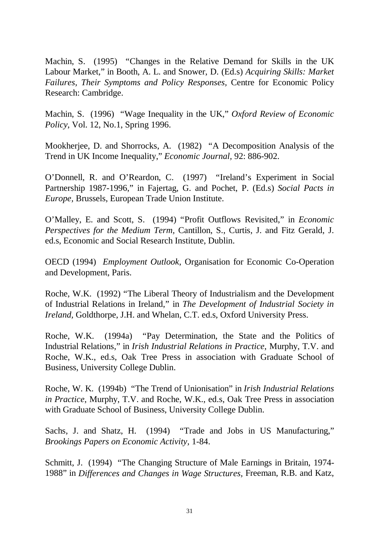Machin, S. (1995) "Changes in the Relative Demand for Skills in the UK Labour Market," in Booth, A. L. and Snower, D. (Ed.s) *Acquiring Skills: Market Failures, Their Symptoms and Policy Responses,* Centre for Economic Policy Research: Cambridge.

Machin, S. (1996) "Wage Inequality in the UK," *Oxford Review of Economic Policy*, Vol. 12, No.1, Spring 1996.

Mookherjee, D. and Shorrocks, A. (1982) "A Decomposition Analysis of the Trend in UK Income Inequality," *Economic Journal,* 92: 886-902.

O'Donnell, R. and O'Reardon, C. (1997) "Ireland's Experiment in Social Partnership 1987-1996," in Fajertag, G. and Pochet, P. (Ed.s) *Social Pacts in Europe,* Brussels, European Trade Union Institute.

O'Malley, E. and Scott, S. (1994) "Profit Outflows Revisited," in *Economic Perspectives for the Medium Term,* Cantillon, S., Curtis, J. and Fitz Gerald, J. ed.s, Economic and Social Research Institute, Dublin.

OECD (1994) *Employment Outlook*, Organisation for Economic Co-Operation and Development, Paris.

Roche, W.K. (1992) "The Liberal Theory of Industrialism and the Development of Industrial Relations in Ireland," in *The Development of Industrial Society in Ireland,* Goldthorpe, J.H. and Whelan, C.T. ed.s, Oxford University Press.

Roche, W.K. (1994a) "Pay Determination, the State and the Politics of Industrial Relations," in *Irish Industrial Relations in Practice*, Murphy, T.V. and Roche, W.K., ed.s, Oak Tree Press in association with Graduate School of Business, University College Dublin.

Roche, W. K. (1994b) "The Trend of Unionisation" in *Irish Industrial Relations in Practice*, Murphy, T.V. and Roche, W.K., ed.s, Oak Tree Press in association with Graduate School of Business, University College Dublin.

Sachs, J. and Shatz, H. (1994) "Trade and Jobs in US Manufacturing," *Brookings Papers on Economic Activity,* 1-84.

Schmitt, J. (1994) "The Changing Structure of Male Earnings in Britain, 1974- 1988" in *Differences and Changes in Wage Structures,* Freeman, R.B. and Katz,